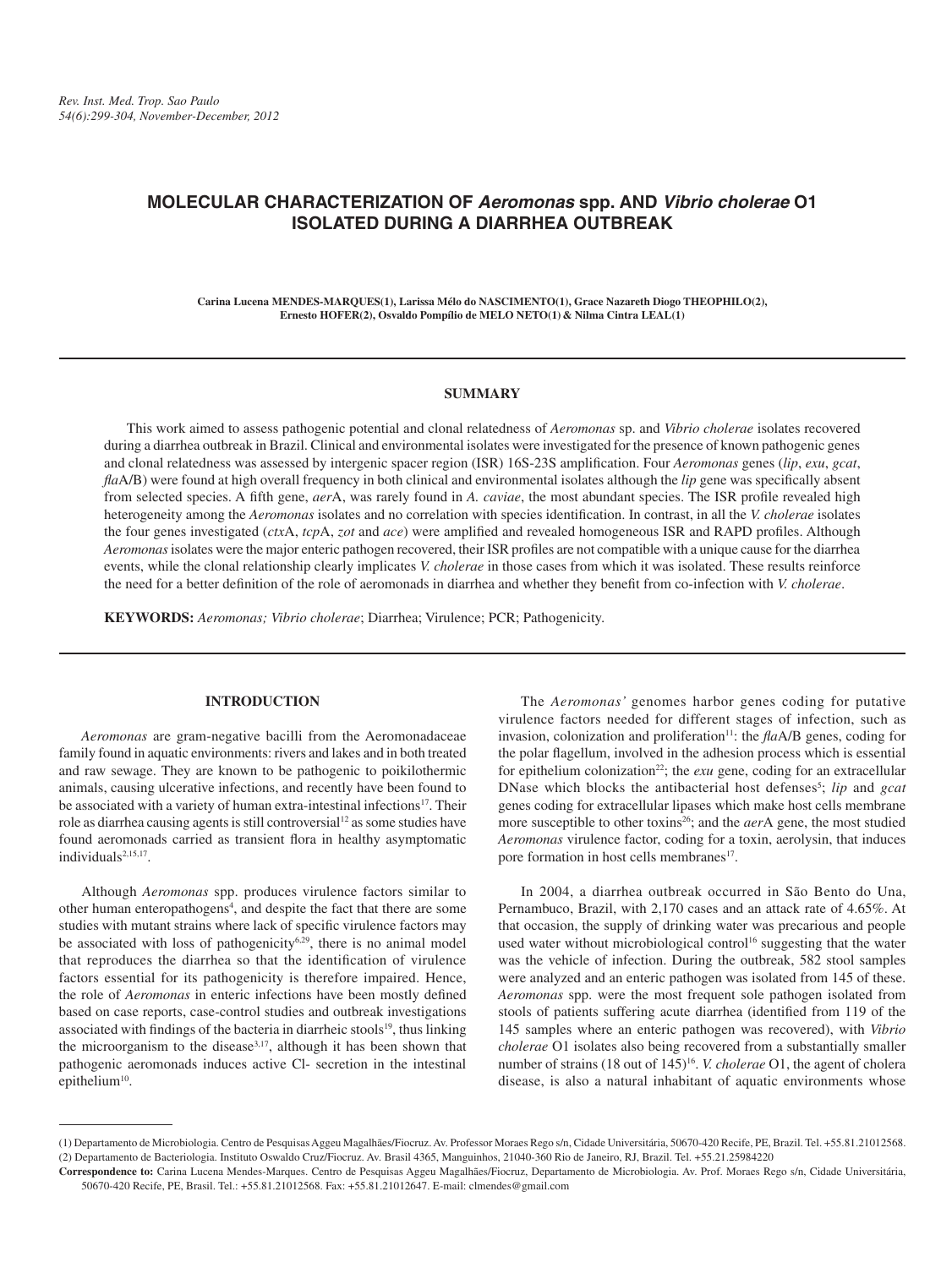# **MOLECULAR CHARACTERIZATION OF** *Aeromonas* **spp. AND** *Vibrio cholerae* **O1 ISOLATED DURING A DIARRHEA OUTBREAK**

**Carina Lucena MENDES-MARQUES(1), Larissa Mélo do NASCIMENTO(1), Grace Nazareth Diogo THEOPHILO(2), Ernesto HOFER(2), Osvaldo Pompílio de MELO NETO(1) & Nilma Cintra LEAL(1)**

# **SUMMARY**

This work aimed to assess pathogenic potential and clonal relatedness of *Aeromonas* sp. and *Vibrio cholerae* isolates recovered during a diarrhea outbreak in Brazil. Clinical and environmental isolates were investigated for the presence of known pathogenic genes and clonal relatedness was assessed by intergenic spacer region (ISR) 16S-23S amplification. Four *Aeromonas* genes (*lip*, *exu*, *gcat*, *fla*A/B) were found at high overall frequency in both clinical and environmental isolates although the *lip* gene was specifically absent from selected species. A fifth gene, *aer*A, was rarely found in *A. caviae*, the most abundant species. The ISR profile revealed high heterogeneity among the *Aeromonas* isolates and no correlation with species identification. In contrast, in all the *V. cholerae* isolates the four genes investigated (*ctx*A, *tcp*A, *zot* and *ace*) were amplified and revealed homogeneous ISR and RAPD profiles. Although *Aeromonas* isolates were the major enteric pathogen recovered, their ISR profiles are not compatible with a unique cause for the diarrhea events, while the clonal relationship clearly implicates *V. cholerae* in those cases from which it was isolated. These results reinforce the need for a better definition of the role of aeromonads in diarrhea and whether they benefit from co-infection with *V. cholerae*.

**KEYWORDS:** *Aeromonas; Vibrio cholerae*; Diarrhea; Virulence; PCR; Pathogenicity.

### **INTRODUCTION**

*Aeromonas* are gram-negative bacilli from the Aeromonadaceae family found in aquatic environments: rivers and lakes and in both treated and raw sewage. They are known to be pathogenic to poikilothermic animals, causing ulcerative infections, and recently have been found to be associated with a variety of human extra-intestinal infections<sup>17</sup>. Their role as diarrhea causing agents is still controversial<sup>12</sup> as some studies have found aeromonads carried as transient flora in healthy asymptomatic individuals<sup>2,15,17</sup>.

Although *Aeromonas* spp. produces virulence factors similar to other human enteropathogens<sup>4</sup>, and despite the fact that there are some studies with mutant strains where lack of specific virulence factors may be associated with loss of pathogenicity<sup>6,29</sup>, there is no animal model that reproduces the diarrhea so that the identification of virulence factors essential for its pathogenicity is therefore impaired. Hence, the role of *Aeromonas* in enteric infections have been mostly defined based on case reports, case-control studies and outbreak investigations associated with findings of the bacteria in diarrheic stools<sup>19</sup>, thus linking the microorganism to the disease<sup>3,17</sup>, although it has been shown that pathogenic aeromonads induces active Cl- secretion in the intestinal epithelium<sup>10</sup>.

The *Aeromonas'* genomes harbor genes coding for putative virulence factors needed for different stages of infection, such as invasion, colonization and proliferation<sup>11</sup>: the *flaA/B* genes, coding for the polar flagellum, involved in the adhesion process which is essential for epithelium colonization<sup>22</sup>; the *exu* gene, coding for an extracellular DNase which blocks the antibacterial host defenses<sup>5</sup>; lip and *gcat* genes coding for extracellular lipases which make host cells membrane more susceptible to other toxins<sup>26</sup>; and the *aer*A gene, the most studied *Aeromonas* virulence factor, coding for a toxin, aerolysin, that induces pore formation in host cells membranes<sup>17</sup>.

In 2004, a diarrhea outbreak occurred in São Bento do Una, Pernambuco, Brazil, with 2,170 cases and an attack rate of 4.65%. At that occasion, the supply of drinking water was precarious and people used water without microbiological control<sup>16</sup> suggesting that the water was the vehicle of infection. During the outbreak, 582 stool samples were analyzed and an enteric pathogen was isolated from 145 of these. *Aeromonas* spp. were the most frequent sole pathogen isolated from stools of patients suffering acute diarrhea (identified from 119 of the 145 samples where an enteric pathogen was recovered), with *Vibrio cholerae* O1 isolates also being recovered from a substantially smaller number of strains (18 out of 145)<sup>16</sup>. *V. cholerae* O1, the agent of cholera disease, is also a natural inhabitant of aquatic environments whose

<sup>(1)</sup> Departamento de Microbiologia. Centro de Pesquisas Aggeu Magalhães/Fiocruz. Av. Professor Moraes Rego s/n, Cidade Universitária, 50670-420 Recife, PE, Brazil. Tel. +55.81.21012568. (2) Departamento de Bacteriologia. Instituto Oswaldo Cruz/Fiocruz. Av. Brasil 4365, Manguinhos, 21040-360 Rio de Janeiro, RJ, Brazil. Tel. +55.21.25984220

**Correspondence to:** Carina Lucena Mendes-Marques. Centro de Pesquisas Aggeu Magalhães/Fiocruz, Departamento de Microbiologia. Av. Prof. Moraes Rego s/n, Cidade Universitária, 50670-420 Recife, PE, Brasil. Tel.: +55.81.21012568. Fax: +55.81.21012647. E-mail: clmendes@gmail.com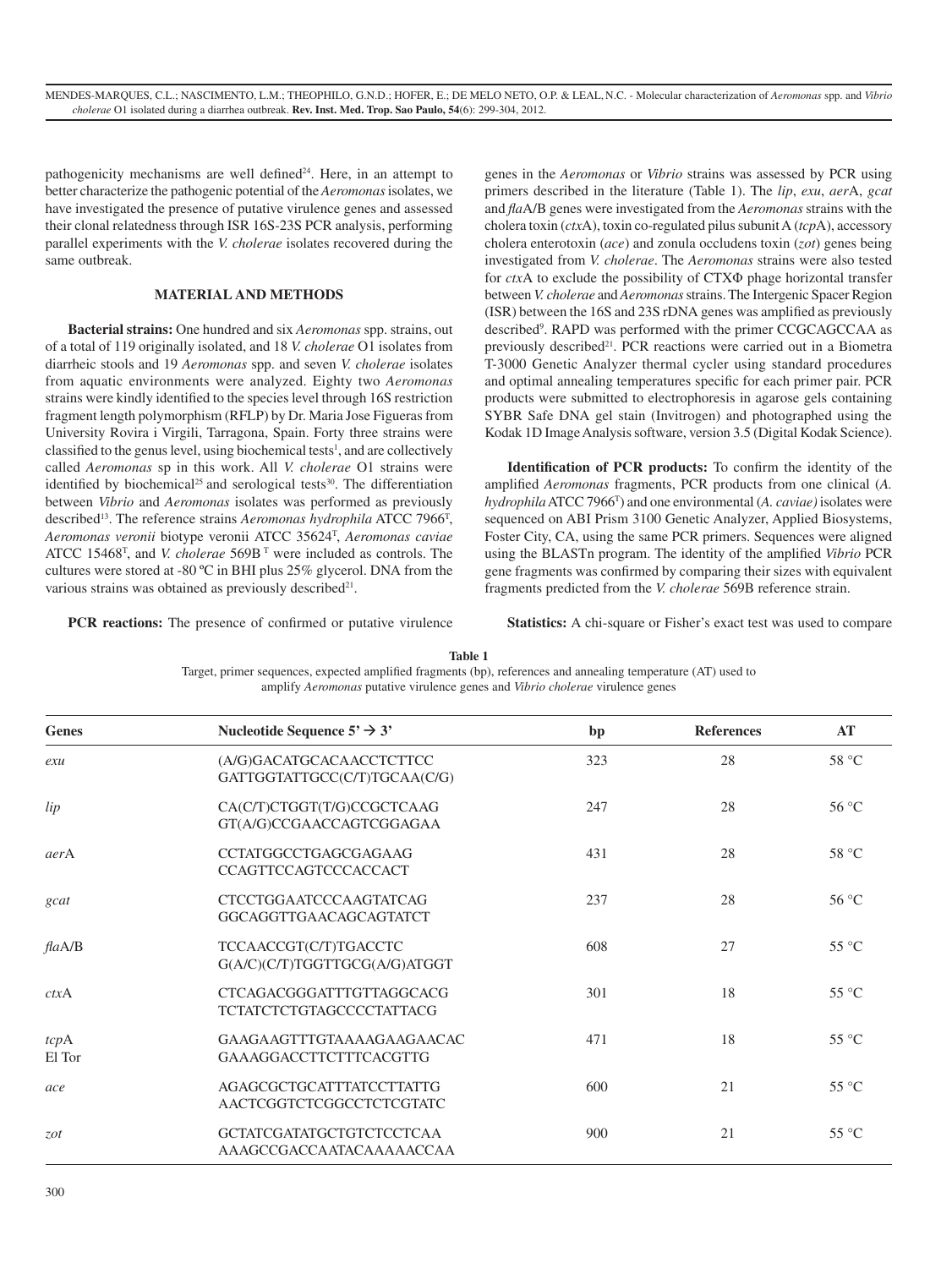MENDES-MARQUES, C.L.; NASCIMENTO, L.M.; THEOPHILO, G.N.D.; HOFER, E.; DE MELO NETO, O.P. & LEAL, N.C. - Molecular characterization of *Aeromonas* spp. and *Vibrio cholerae* O1 isolated during a diarrhea outbreak. **Rev. Inst. Med. Trop. Sao Paulo, 54**(6): 299-304, 2012.

pathogenicity mechanisms are well defined $24$ . Here, in an attempt to better characterize the pathogenic potential of the *Aeromonas* isolates, we have investigated the presence of putative virulence genes and assessed their clonal relatedness through ISR 16S-23S PCR analysis, performing parallel experiments with the *V. cholerae* isolates recovered during the same outbreak.

## **MATERIAL AND METHODS**

**Bacterial strains:** One hundred and six *Aeromonas* spp. strains, out of a total of 119 originally isolated, and 18 *V. cholerae* O1 isolates from diarrheic stools and 19 *Aeromonas* spp. and seven *V. cholerae* isolates from aquatic environments were analyzed. Eighty two *Aeromonas* strains were kindly identified to the species level through 16S restriction fragment length polymorphism (RFLP) by Dr. Maria Jose Figueras from University Rovira i Virgili, Tarragona, Spain. Forty three strains were classified to the genus level, using biochemical tests<sup>1</sup>, and are collectively called *Aeromonas* sp in this work. All *V. cholerae* O1 strains were identified by biochemical<sup>25</sup> and serological tests<sup>30</sup>. The differentiation between *Vibrio* and *Aeromonas* isolates was performed as previously described<sup>13</sup>. The reference strains *Aeromonas hydrophila* ATCC 7966<sup>T</sup>, *Aeromonas veronii* biotype veronii ATCC 35624T , *Aeromonas caviae* ATCC 15468T , and *V. cholerae* 569B T were included as controls. The cultures were stored at -80 ºC in BHI plus 25% glycerol. DNA from the various strains was obtained as previously described<sup>21</sup>.

genes in the *Aeromonas* or *Vibrio* strains was assessed by PCR using primers described in the literature (Table 1). The *lip*, *exu*, *aer*A, *gcat* and *fla*A/B genes were investigated from the *Aeromonas* strains with the cholera toxin (*ctx*A), toxin co-regulated pilus subunit A (*tcp*A), accessory cholera enterotoxin (*ace*) and zonula occludens toxin (*zot*) genes being investigated from *V. cholerae*. The *Aeromonas* strains were also tested for *ctx*A to exclude the possibility of CTXΦ phage horizontal transfer between *V. cholerae* and *Aeromonas* strains. The Intergenic Spacer Region (ISR) between the 16S and 23S rDNA genes was amplified as previously described<sup>9</sup>. RAPD was performed with the primer CCGCAGCCAA as previously described<sup>21</sup>. PCR reactions were carried out in a Biometra T-3000 Genetic Analyzer thermal cycler using standard procedures and optimal annealing temperatures specific for each primer pair. PCR products were submitted to electrophoresis in agarose gels containing SYBR Safe DNA gel stain (Invitrogen) and photographed using the Kodak 1D Image Analysis software, version 3.5 (Digital Kodak Science).

**Identification of PCR products:** To confirm the identity of the amplified *Aeromonas* fragments, PCR products from one clinical (*A. hydrophila* ATCC 7966T) and one environmental (*A. caviae)* isolates were sequenced on ABI Prism 3100 Genetic Analyzer, Applied Biosystems, Foster City, CA, using the same PCR primers. Sequences were aligned using the BLASTn program. The identity of the amplified *Vibrio* PCR gene fragments was confirmed by comparing their sizes with equivalent fragments predicted from the *V. cholerae* 569B reference strain.

**PCR reactions:** The presence of confirmed or putative virulence

**Statistics:** A chi-square or Fisher's exact test was used to compare

| Table 1                                                                                                        |
|----------------------------------------------------------------------------------------------------------------|
| Target, primer sequences, expected amplified fragments (bp), references and annealing temperature (AT) used to |
| amplify <i>Aeromonas</i> putative virulence genes and <i>Vibrio cholerae</i> virulence genes                   |

| <b>Genes</b>   | Nucleotide Sequence $5' \rightarrow 3'$                            | bp  | <b>References</b> | AT             |
|----------------|--------------------------------------------------------------------|-----|-------------------|----------------|
| exu            | (A/G)GACATGCACAACCTCTTCC<br>GATTGGTATTGCC(C/T)TGCAA(C/G)           | 323 | 28                | 58 °C          |
| lip            | CA(C/T)CTGGT(T/G)CCGCTCAAG<br>GT(A/G)CCGAACCAGTCGGAGAA             | 247 | 28                | $56^{\circ}$ C |
| aerA           | <b>CCTATGGCCTGAGCGAGAAG</b><br><b>CCAGTTCCAGTCCCACCACT</b>         | 431 | 28                | 58 °C          |
| gcat           | <b>CTCCTGGAATCCCAAGTATCAG</b><br>GGCAGGTTGAACAGCAGTATCT            | 237 | 28                | $56^{\circ}$ C |
| flaA/B         | TCCAACCGT(C/T)TGACCTC<br>G(A/C)(C/T)TGGTTGCG(A/G)ATGGT             | 608 | 27                | $55^{\circ}$ C |
| ctxA           | <b>CTCAGACGGGATTTGTTAGGCACG</b><br><b>TCTATCTCTGTAGCCCCTATTACG</b> | 301 | 18                | $55^{\circ}$ C |
| tcpA<br>El Tor | GAAGAAGTTTGTAAAAGAAGAACAC<br><b>GAAAGGACCTTCTTTCACGTTG</b>         | 471 | 18                | $55^{\circ}$ C |
| ace            | <b>AGAGCGCTGCATTTATCCTTATTG</b><br>AACTCGGTCTCGGCCTCTCGTATC        | 600 | 21                | $55^{\circ}$ C |
| zot            | <b>GCTATCGATATGCTGTCTCCTCAA</b><br>AAAGCCGACCAATACAAAAACCAA        | 900 | 21                | $55^{\circ}$ C |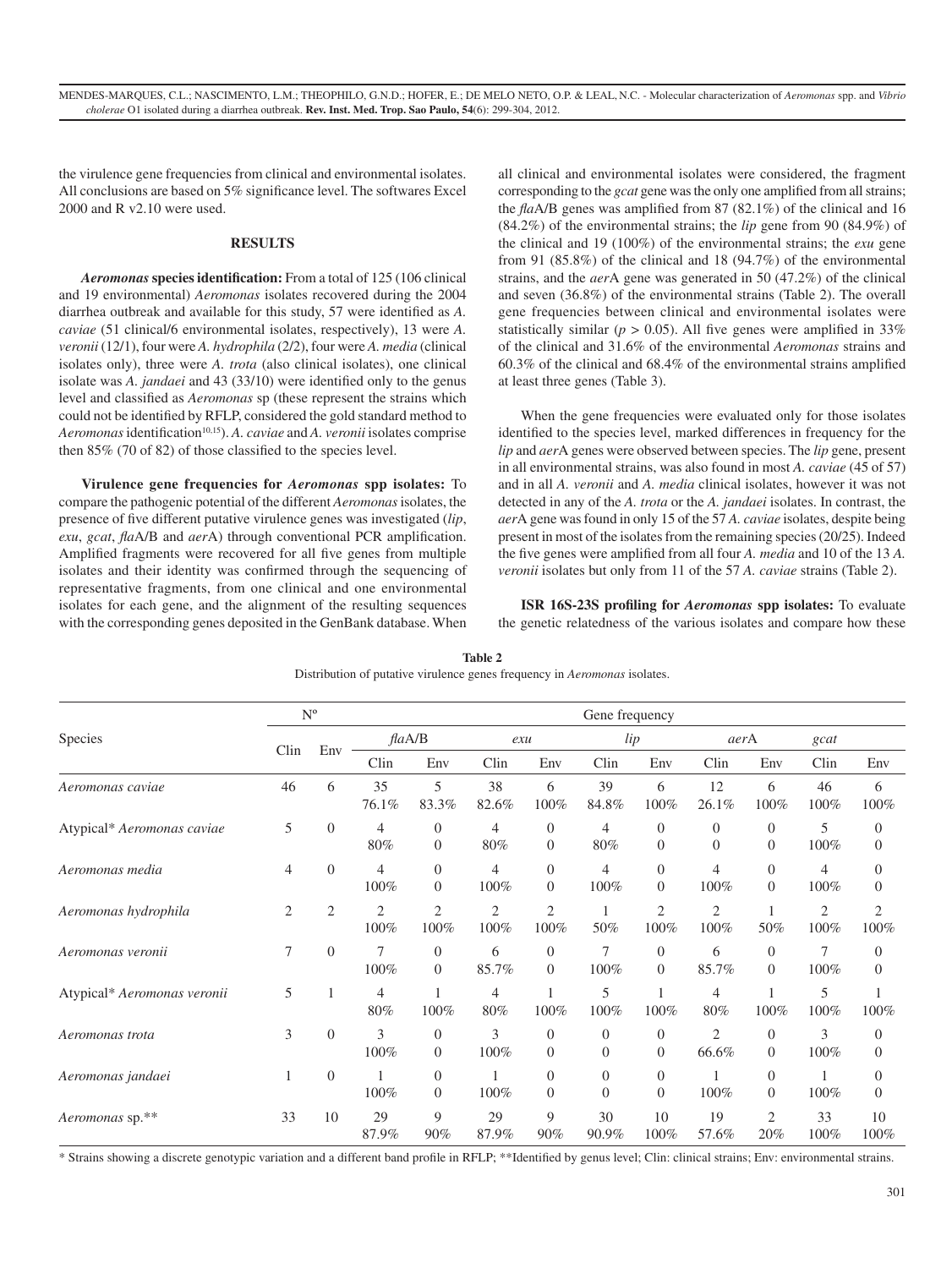MENDES-MARQUES, C.L.; NASCIMENTO, L.M.; THEOPHILO, G.N.D.; HOFER, E.; DE MELO NETO, O.P. & LEAL, N.C. - Molecular characterization of *Aeromonas* spp. and *Vibrio cholerae* O1 isolated during a diarrhea outbreak. **Rev. Inst. Med. Trop. Sao Paulo, 54**(6): 299-304, 2012.

the virulence gene frequencies from clinical and environmental isolates. All conclusions are based on 5% significance level. The softwares Excel 2000 and R v2.10 were used.

### **RESULTS**

*Aeromonas* **species identification:** From a total of 125 (106 clinical and 19 environmental) *Aeromonas* isolates recovered during the 2004 diarrhea outbreak and available for this study, 57 were identified as *A. caviae* (51 clinical/6 environmental isolates, respectively), 13 were *A. veronii* (12/1), four were *A. hydrophila* (2/2), four were *A. media* (clinical isolates only), three were *A. trota* (also clinical isolates), one clinical isolate was *A. jandaei* and 43 (33/10) were identified only to the genus level and classified as *Aeromonas* sp (these represent the strains which could not be identified by RFLP, considered the gold standard method to *Aeromonas* identification<sup>10,15</sup>). *A. caviae* and *A. veronii* isolates comprise then 85% (70 of 82) of those classified to the species level.

**Virulence gene frequencies for** *Aeromonas* **spp isolates:** To compare the pathogenic potential of the different *Aeromonas* isolates, the presence of five different putative virulence genes was investigated (*lip*, *exu*, *gcat*, *fla*A/B and *aer*A) through conventional PCR amplification. Amplified fragments were recovered for all five genes from multiple isolates and their identity was confirmed through the sequencing of representative fragments, from one clinical and one environmental isolates for each gene, and the alignment of the resulting sequences with the corresponding genes deposited in the GenBank database. When all clinical and environmental isolates were considered, the fragment corresponding to the *gcat* gene was the only one amplified from all strains; the *fla*A/B genes was amplified from 87 (82.1%) of the clinical and 16 (84.2%) of the environmental strains; the *lip* gene from 90 (84.9%) of the clinical and 19 (100%) of the environmental strains; the *exu* gene from 91 (85.8%) of the clinical and 18 (94.7%) of the environmental strains, and the *aer*A gene was generated in 50 (47.2%) of the clinical and seven (36.8%) of the environmental strains (Table 2). The overall gene frequencies between clinical and environmental isolates were statistically similar ( $p > 0.05$ ). All five genes were amplified in 33% of the clinical and 31.6% of the environmental *Aeromonas* strains and 60.3% of the clinical and 68.4% of the environmental strains amplified at least three genes (Table 3).

When the gene frequencies were evaluated only for those isolates identified to the species level, marked differences in frequency for the *lip* and *aer*A genes were observed between species. The *lip* gene, present in all environmental strains, was also found in most *A. caviae* (45 of 57) and in all *A. veronii* and *A. media* clinical isolates, however it was not detected in any of the *A. trota* or the *A. jandaei* isolates. In contrast, the *aer*A gene was found in only 15 of the 57 *A. caviae* isolates, despite being present in most of the isolates from the remaining species (20/25). Indeed the five genes were amplified from all four *A. media* and 10 of the 13 *A. veronii* isolates but only from 11 of the 57 *A. caviae* strains (Table 2).

**ISR 16S-23S profiling for** *Aeromonas* **spp isolates:** To evaluate the genetic relatedness of the various isolates and compare how these

|                             | $N^{o}$        |                | Gene frequency         |                                  |                        |                                  |                                      |                            |                            |                                  |                        |                                  |
|-----------------------------|----------------|----------------|------------------------|----------------------------------|------------------------|----------------------------------|--------------------------------------|----------------------------|----------------------------|----------------------------------|------------------------|----------------------------------|
| Species                     |                |                | flaA/B                 |                                  | exu                    |                                  | lip                                  |                            | aerA                       |                                  | gcat                   |                                  |
|                             | Clin           | Env            | Clin                   | Env                              | Clin                   | Env                              | Clin                                 | Env                        | Clin                       | Env                              | Clin                   | Env                              |
| Aeromonas caviae            | 46             | 6              | 35<br>76.1%            | 5<br>83.3%                       | 38<br>82.6%            | 6<br>100%                        | 39<br>84.8%                          | 6<br>100%                  | 12<br>26.1%                | 6<br>100%                        | 46<br>100%             | 6<br>100%                        |
| Atypical* Aeromonas caviae  | 5              | $\theta$       | $\overline{4}$<br>80%  | $\overline{0}$<br>$\overline{0}$ | $\overline{4}$<br>80%  | $\overline{0}$<br>$\theta$       | $\overline{4}$<br>80%                | $\overline{0}$<br>$\Omega$ | $\overline{0}$<br>$\theta$ | $\theta$<br>$\Omega$             | 5<br>100%              | $\overline{0}$<br>$\overline{0}$ |
| Aeromonas media             | 4              | $\overline{0}$ | $\overline{4}$<br>100% | $\theta$<br>$\Omega$             | $\overline{4}$<br>100% | $\overline{0}$<br>$\Omega$       | 4<br>100%                            | $\theta$<br>$\Omega$       | 4<br>100%                  | $\Omega$<br>$\Omega$             | 4<br>100%              | $\overline{0}$<br>$\overline{0}$ |
| Aeromonas hydrophila        | $\overline{2}$ | $\overline{2}$ | $\overline{2}$<br>100% | $\overline{2}$<br>100%           | $\overline{c}$<br>100% | $\overline{2}$<br>100%           | 50%                                  | $\overline{c}$<br>100%     | $\overline{2}$<br>100%     | 50%                              | $\overline{c}$<br>100% | $\overline{2}$<br>100%           |
| Aeromonas veronii           | 7              | $\overline{0}$ | 7<br>100%              | $\theta$<br>$\Omega$             | 6<br>85.7%             | $\boldsymbol{0}$<br>$\theta$     | 7<br>100%                            | $\theta$<br>$\Omega$       | 6<br>85.7%                 | $\overline{0}$<br>$\Omega$       | 7<br>100%              | $\overline{0}$<br>$\Omega$       |
| Atypical* Aeromonas veronii | 5              |                | 4<br>80%               | 100%                             | 4<br>80%               | 100%                             | 5<br>100%                            | 100%                       | 4<br>80%                   | 100%                             | 5<br>100%              | 100%                             |
| Aeromonas trota             | 3              | $\theta$       | 3<br>100%              | $\overline{0}$<br>$\Omega$       | 3<br>100%              | $\overline{0}$<br>$\overline{0}$ | $\overline{0}$<br>$\Omega$           | $\theta$<br>$\Omega$       | 2<br>66.6%                 | $\overline{0}$<br>$\Omega$       | 3<br>100%              | $\overline{0}$<br>$\overline{0}$ |
| Aeromonas jandaei           |                | $\mathbf{0}$   | 100%                   | $\overline{0}$<br>$\theta$       | 100%                   | $\overline{0}$<br>$\overline{0}$ | $\boldsymbol{0}$<br>$\boldsymbol{0}$ | $\theta$<br>$\theta$       | 100%                       | $\overline{0}$<br>$\overline{0}$ | 100%                   | $\Omega$<br>$\overline{0}$       |
| Aeromonas sp.**             | 33             | 10             | 29<br>87.9%            | 9<br>90%                         | 29<br>87.9%            | 9<br>90%                         | 30<br>90.9%                          | 10<br>100%                 | 19<br>57.6%                | 2<br>20%                         | 33<br>100%             | 10<br>100%                       |

**Table 2** Distribution of putative virulence genes frequency in *Aeromonas* isolates.

\* Strains showing a discrete genotypic variation and a different band profile in RFLP; \*\*Identified by genus level; Clin: clinical strains; Env: environmental strains.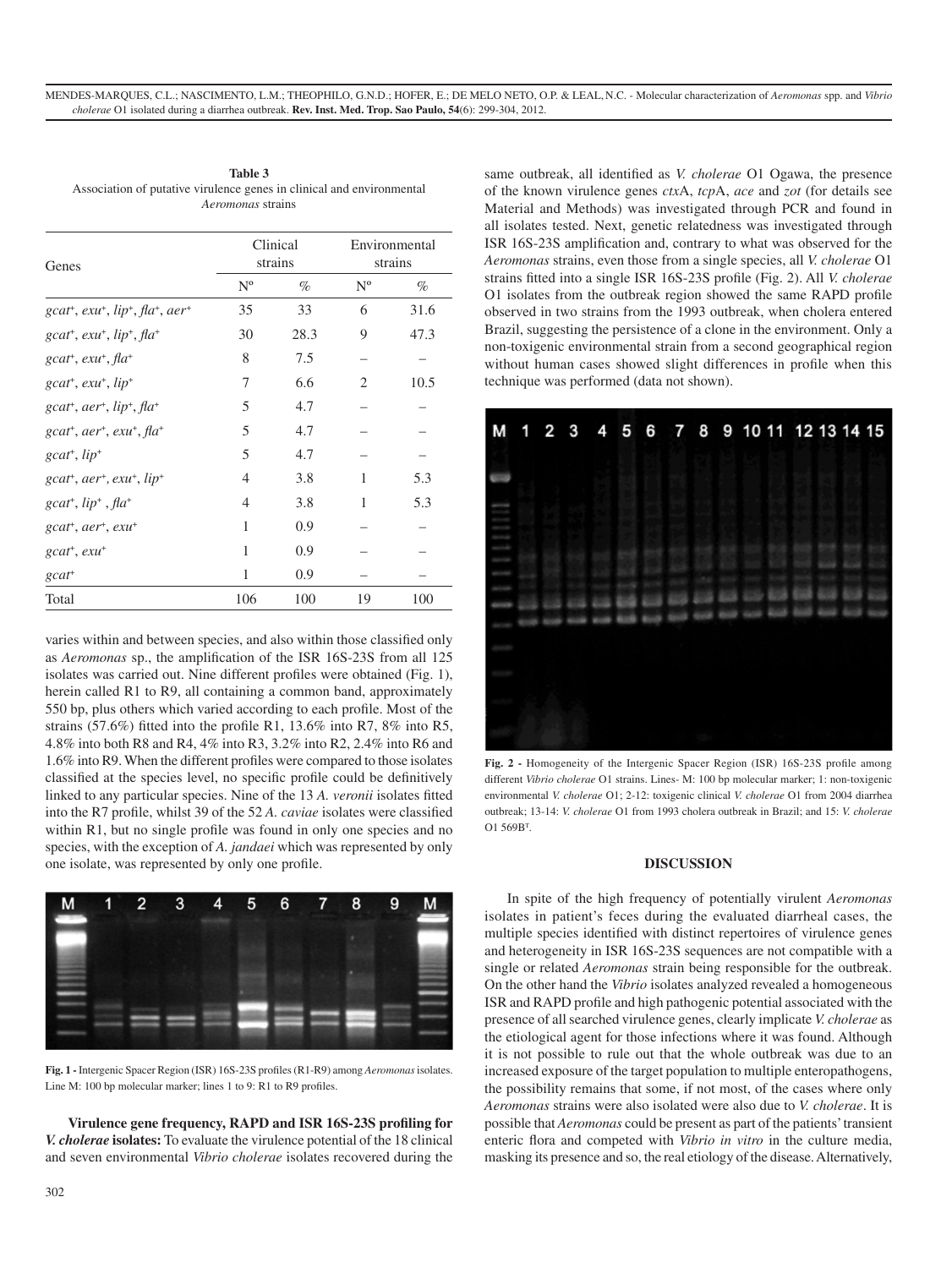| Genes                                                                                                  |                           | Clinical<br>strains | Environmental<br>strains    |      |  |
|--------------------------------------------------------------------------------------------------------|---------------------------|---------------------|-----------------------------|------|--|
|                                                                                                        | $\mathrm{N}^{\mathrm{o}}$ | $\%$                | $N^{\rm o}$                 | %    |  |
| $\gamma$ gcat <sup>+</sup> , exu <sup>+</sup> , lip <sup>+</sup> , fla <sup>+</sup> , aer <sup>+</sup> | 35                        | 33                  | 6                           | 31.6 |  |
| $\gamma$ gcat <sup>+</sup> , exu <sup>+</sup> , lip <sup>+</sup> , fla <sup>+</sup>                    | 30                        | 28.3                | 9                           | 47.3 |  |
| $\gamma$ gcat <sup>+</sup> , exu <sup>+</sup> , fla <sup>+</sup>                                       | 8                         | 7.5                 |                             |      |  |
| $\gamma$ gcat <sup>+</sup> , exu <sup>+</sup> , lip <sup>+</sup>                                       | 7                         | 6.6                 | $\mathcal{D}_{\mathcal{A}}$ | 10.5 |  |
| $\gamma$ gcat <sup>+</sup> , aer <sup>+</sup> , lip <sup>+</sup> , fla <sup>+</sup>                    | 5                         | 4.7                 |                             |      |  |
| $\gamma$ gcat <sup>+</sup> , aer <sup>+</sup> , exu <sup>+</sup> , fla <sup>+</sup>                    | 5                         | 4.7                 |                             |      |  |
| $\gamma$ gcat <sup>+</sup> , lip <sup>+</sup>                                                          | 5                         | 4.7                 |                             |      |  |
| $\gamma$ gcat <sup>+</sup> , aer <sup>+</sup> , exu <sup>+</sup> , lip <sup>+</sup>                    | $\overline{4}$            | 3.8                 | 1                           | 5.3  |  |
| $\gamma$ gcat <sup>+</sup> , lip <sup>+</sup> , fla <sup>+</sup>                                       | $\overline{4}$            | 3.8                 | 1                           | 5.3  |  |
| $gcat^+, aer^+, exu^+$                                                                                 | 1                         | 0.9                 |                             |      |  |
| $\alpha$ gcat <sup>+</sup> , $\alpha$ xu <sup>+</sup>                                                  | 1                         | 0.9                 |                             |      |  |
| $\mathit{gcat}^+$                                                                                      | 1                         | 0.9                 |                             |      |  |
| Total                                                                                                  | 106                       | 100                 | 19                          | 100  |  |

**Table 3** Association of putative virulence genes in clinical and environmental *Aeromonas* strains

varies within and between species, and also within those classified only as *Aeromonas* sp., the amplification of the ISR 16S-23S from all 125 isolates was carried out. Nine different profiles were obtained (Fig. 1), herein called R1 to R9, all containing a common band, approximately 550 bp, plus others which varied according to each profile. Most of the strains (57.6%) fitted into the profile R1, 13.6% into R7, 8% into R5, 4.8% into both R8 and R4, 4% into R3, 3.2% into R2, 2.4% into R6 and 1.6% into R9. When the different profiles were compared to those isolates classified at the species level, no specific profile could be definitively linked to any particular species. Nine of the 13 *A. veronii* isolates fitted into the R7 profile, whilst 39 of the 52 *A. caviae* isolates were classified within R1, but no single profile was found in only one species and no species, with the exception of *A. jandaei* which was represented by only one isolate, was represented by only one profile.



**Fig. 1 -** Intergenic Spacer Region (ISR) 16S-23S profiles (R1-R9) among *Aeromonas* isolates. Line M: 100 bp molecular marker; lines 1 to 9: R1 to R9 profiles.

**Virulence gene frequency, RAPD and ISR 16S-23S profiling for**  *V. cholerae* **isolates:** To evaluate the virulence potential of the 18 clinical and seven environmental *Vibrio cholerae* isolates recovered during the

same outbreak, all identified as *V. cholerae* O1 Ogawa, the presence of the known virulence genes *ctx*A, *tcp*A, *ace* and *zot* (for details see Material and Methods) was investigated through PCR and found in all isolates tested. Next, genetic relatedness was investigated through ISR 16S-23S amplification and, contrary to what was observed for the *Aeromonas* strains, even those from a single species, all *V. cholerae* O1 strains fitted into a single ISR 16S-23S profile (Fig. 2). All *V. cholerae* O1 isolates from the outbreak region showed the same RAPD profile observed in two strains from the 1993 outbreak, when cholera entered Brazil, suggesting the persistence of a clone in the environment. Only a non-toxigenic environmental strain from a second geographical region without human cases showed slight differences in profile when this technique was performed (data not shown).



**Fig. 2 -** Homogeneity of the Intergenic Spacer Region (ISR) 16S-23S profile among different *Vibrio cholerae* O1 strains. Lines- M: 100 bp molecular marker; 1: non-toxigenic environmental *V. cholerae* O1; 2-12: toxigenic clinical *V. cholerae* O1 from 2004 diarrhea outbreak; 13-14: *V. cholerae* O1 from 1993 cholera outbreak in Brazil; and 15: *V. cholerae* O1 569BT .

# **DISCUSSION**

In spite of the high frequency of potentially virulent *Aeromonas* isolates in patient's feces during the evaluated diarrheal cases, the multiple species identified with distinct repertoires of virulence genes and heterogeneity in ISR 16S-23S sequences are not compatible with a single or related *Aeromonas* strain being responsible for the outbreak. On the other hand the *Vibrio* isolates analyzed revealed a homogeneous ISR and RAPD profile and high pathogenic potential associated with the presence of all searched virulence genes, clearly implicate *V. cholerae* as the etiological agent for those infections where it was found. Although it is not possible to rule out that the whole outbreak was due to an increased exposure of the target population to multiple enteropathogens, the possibility remains that some, if not most, of the cases where only *Aeromonas* strains were also isolated were also due to *V. cholerae*. It is possible that *Aeromonas* could be present as part of the patients' transient enteric flora and competed with *Vibrio in vitro* in the culture media, masking its presence and so, the real etiology of the disease. Alternatively,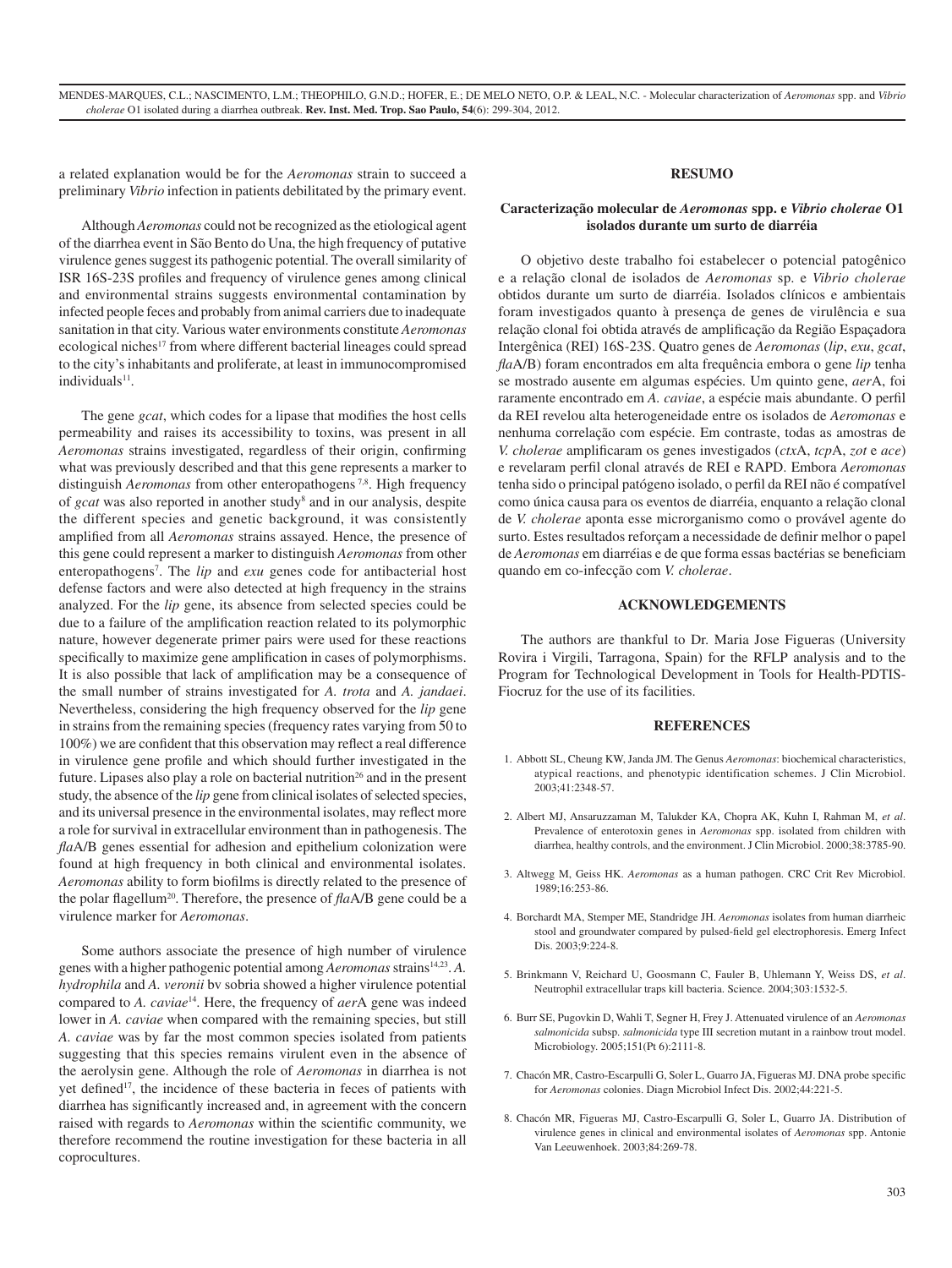a related explanation would be for the *Aeromonas* strain to succeed a preliminary *Vibrio* infection in patients debilitated by the primary event.

Although *Aeromonas* could not be recognized as the etiological agent of the diarrhea event in São Bento do Una, the high frequency of putative virulence genes suggest its pathogenic potential. The overall similarity of ISR 16S-23S profiles and frequency of virulence genes among clinical and environmental strains suggests environmental contamination by infected people feces and probably from animal carriers due to inadequate sanitation in that city. Various water environments constitute *Aeromonas* ecological niches<sup>17</sup> from where different bacterial lineages could spread to the city's inhabitants and proliferate, at least in immunocompromised  $individuals<sup>11</sup>$ .

The gene *gcat*, which codes for a lipase that modifies the host cells permeability and raises its accessibility to toxins, was present in all *Aeromonas* strains investigated, regardless of their origin, confirming what was previously described and that this gene represents a marker to distinguish *Aeromonas* from other enteropathogens<sup>7,8</sup>. High frequency of *gcat* was also reported in another study<sup>8</sup> and in our analysis, despite the different species and genetic background, it was consistently amplified from all *Aeromonas* strains assayed. Hence, the presence of this gene could represent a marker to distinguish *Aeromonas* from other enteropathogens<sup>7</sup>. The *lip* and *exu* genes code for antibacterial host defense factors and were also detected at high frequency in the strains analyzed. For the *lip* gene, its absence from selected species could be due to a failure of the amplification reaction related to its polymorphic nature, however degenerate primer pairs were used for these reactions specifically to maximize gene amplification in cases of polymorphisms. It is also possible that lack of amplification may be a consequence of the small number of strains investigated for *A. trota* and *A. jandaei*. Nevertheless, considering the high frequency observed for the *lip* gene in strains from the remaining species (frequency rates varying from 50 to 100%) we are confident that this observation may reflect a real difference in virulence gene profile and which should further investigated in the future. Lipases also play a role on bacterial nutrition<sup>26</sup> and in the present study, the absence of the *lip* gene from clinical isolates of selected species, and its universal presence in the environmental isolates, may reflect more a role for survival in extracellular environment than in pathogenesis. The *fla*A/B genes essential for adhesion and epithelium colonization were found at high frequency in both clinical and environmental isolates. *Aeromonas* ability to form biofilms is directly related to the presence of the polar flagellum20. Therefore, the presence of *fla*A/B gene could be a virulence marker for *Aeromonas*.

Some authors associate the presence of high number of virulence genes with a higher pathogenic potential among *Aeromonas* strains14,23. *A. hydrophila* and *A. veronii* bv sobria showed a higher virulence potential compared to *A. caviae*14. Here, the frequency of *aer*A gene was indeed lower in *A. caviae* when compared with the remaining species, but still *A. caviae* was by far the most common species isolated from patients suggesting that this species remains virulent even in the absence of the aerolysin gene. Although the role of *Aeromonas* in diarrhea is not yet defined<sup>17</sup>, the incidence of these bacteria in feces of patients with diarrhea has significantly increased and, in agreement with the concern raised with regards to *Aeromonas* within the scientific community, we therefore recommend the routine investigation for these bacteria in all coprocultures.

## **RESUMO**

# **Caracterização molecular de** *Aeromonas* **spp. e** *Vibrio cholerae* **O1 isolados durante um surto de diarréia**

O objetivo deste trabalho foi estabelecer o potencial patogênico e a relação clonal de isolados de *Aeromonas* sp. e *Vibrio cholerae* obtidos durante um surto de diarréia. Isolados clínicos e ambientais foram investigados quanto à presença de genes de virulência e sua relação clonal foi obtida através de amplificação da Região Espaçadora Intergênica (REI) 16S-23S. Quatro genes de *Aeromonas* (*lip*, *exu*, *gcat*, *fla*A/B) foram encontrados em alta frequência embora o gene *lip* tenha se mostrado ausente em algumas espécies. Um quinto gene, *aer*A, foi raramente encontrado em *A. caviae*, a espécie mais abundante. O perfil da REI revelou alta heterogeneidade entre os isolados de *Aeromonas* e nenhuma correlação com espécie. Em contraste, todas as amostras de *V. cholerae* amplificaram os genes investigados (*ctx*A, *tcp*A, *zot* e *ace*) e revelaram perfil clonal através de REI e RAPD. Embora *Aeromonas* tenha sido o principal patógeno isolado, o perfil da REI não é compatível como única causa para os eventos de diarréia, enquanto a relação clonal de *V. cholerae* aponta esse microrganismo como o provável agente do surto. Estes resultados reforçam a necessidade de definir melhor o papel de *Aeromonas* em diarréias e de que forma essas bactérias se beneficiam quando em co-infecção com *V. cholerae*.

#### **ACKNOWLEDGEMENTS**

The authors are thankful to Dr. Maria Jose Figueras (University Rovira i Virgili, Tarragona, Spain) for the RFLP analysis and to the Program for Technological Development in Tools for Health-PDTIS-Fiocruz for the use of its facilities.

#### **REFERENCES**

- 1. Abbott SL, Cheung KW, Janda JM. The Genus *Aeromonas*: biochemical characteristics, atypical reactions, and phenotypic identification schemes. J Clin Microbiol. 2003;41:2348-57.
- 2. Albert MJ, Ansaruzzaman M, Talukder KA, Chopra AK, Kuhn I, Rahman M, *et al*. Prevalence of enterotoxin genes in *Aeromonas* spp. isolated from children with diarrhea, healthy controls, and the environment. J Clin Microbiol. 2000;38:3785-90.
- 3. Altwegg M, Geiss HK. *Aeromonas* as a human pathogen. CRC Crit Rev Microbiol. 1989;16:253-86.
- 4. Borchardt MA, Stemper ME, Standridge JH. *Aeromonas* isolates from human diarrheic stool and groundwater compared by pulsed-field gel electrophoresis. Emerg Infect Dis. 2003;9:224-8.
- 5. Brinkmann V, Reichard U, Goosmann C, Fauler B, Uhlemann Y, Weiss DS, *et al*. Neutrophil extracellular traps kill bacteria. Science. 2004;303:1532-5.
- 6. Burr SE, Pugovkin D, Wahli T, Segner H, Frey J. Attenuated virulence of an *Aeromonas salmonicida* subsp. *salmonicida* type III secretion mutant in a rainbow trout model. Microbiology. 2005;151(Pt 6):2111-8.
- 7. Chacón MR, Castro-Escarpulli G, Soler L, Guarro JA, Figueras MJ. DNA probe specific for *Aeromonas* colonies. Diagn Microbiol Infect Dis. 2002;44:221-5.
- 8. Chacón MR, Figueras MJ, Castro-Escarpulli G, Soler L, Guarro JA. Distribution of virulence genes in clinical and environmental isolates of *Aeromonas* spp. Antonie Van Leeuwenhoek. 2003;84:269-78.